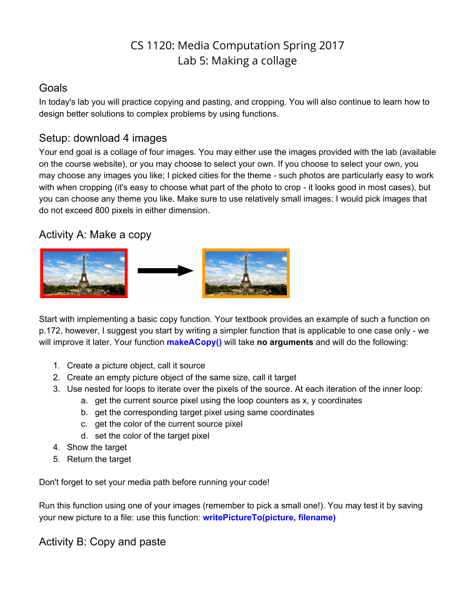# CS 1120: Media Computation Spring 2017 Lab 5: Making a collage

### Goals

In today's lab you will practice copying and pasting, and cropping. You will also continue to learn how to design better solutions to complex problems by using functions.

## Setup: download 4 images

Your end goal is a collage of four images. You may either use the images provided with the lab (available on the course website), or you may choose to select your own. If you choose to select your own, you may choose any images you like; I picked cities for the theme - such photos are particularly easy to work with when cropping (it's easy to choose what part of the photo to crop - it looks good in most cases), but you can choose any theme you like. Make sure to use relatively small images: I would pick images that do not exceed 800 pixels in either dimension.

### Activity A: Make a copy



Start with implementing a basic copy function. Your textbook provides an example of such a function on p.172, however, I suggest you start by writing a simpler function that is applicable to one case only - we will improve it later. Your function **makeACopy()** will take **no arguments** and will do the following:

- 1. Create a picture object, call it source
- 2. Create an empty picture object of the same size, call it target
- 3. Use nested for loops to iterate over the pixels of the source. At each iteration of the inner loop:
	- a. get the current source pixel using the loop counters as x, y coordinates
	- b. get the corresponding target pixel using same coordinates
	- c. get the color of the current source pixel
	- d. set the color of the target pixel
- 4. Show the target
- 5. Return the target

Don't forget to set your media path before running your code!

Run this function using one of your images (remember to pick a small one!). You may test it by saving your new picture to a file: use this function: **writePictureTo(picture, filename)**

Activity B: Copy and paste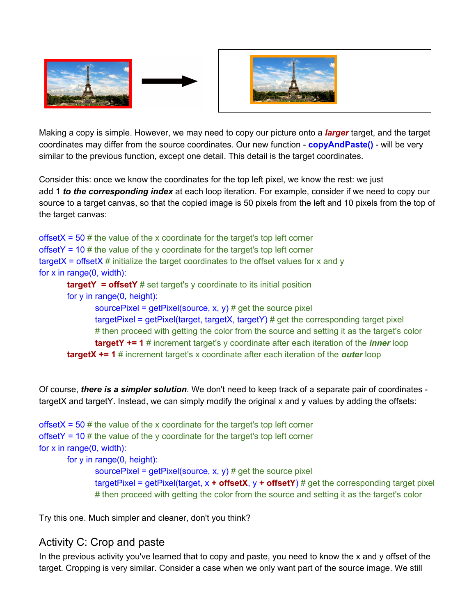





Making a copy is simple. However, we may need to copy our picture onto a *larger* target, and the target coordinates may differ from the source coordinates. Our new function - **copyAndPaste()** - will be very similar to the previous function, except one detail. This detail is the target coordinates.

Consider this: once we know the coordinates for the top left pixel, we know the rest: we just add 1 *to the corresponding index* at each loop iteration. For example, consider if we need to copy our source to a target canvas, so that the copied image is 50 pixels from the left and 10 pixels from the top of the target canvas:

offsetX =  $50 \#$  the value of the x coordinate for the target's top left corner offsetY =  $10 \#$  the value of the y coordinate for the target's top left corner  $targetX = offsetX # initialize the target coordinates to the offset values for x and y$ for x in range(0, width): **targetY = offsetY** # set target's y coordinate to its initial position for y in range(0, height): sourcePixel =  $getPixel(source, x, y)$  # get the source pixel targetPixel = getPixel(target, targetX, targetY) # get the corresponding target pixel # then proceed with getting the color from the source and setting it as the target's color **targetY += 1** # increment target's y coordinate after each iteration of the *inner* loop **targetX += 1** # increment target's x coordinate after each iteration of the *outer* loop

 Of course, *there is a simpler solution*. We don't need to keep track of a separate pair of coordinates targetX and targetY. Instead, we can simply modify the original x and y values by adding the offsets:

```
offsetX = 50 # the value of the x coordinate for the target's top left corner
offsetY = 10 \# the value of the y coordinate for the target's top left corner
for x in range(0, width):
        for y in range(0, height):
```
sourcePixel =  $getPixel(source, x, y)$  # get the source pixel targetPixel = getPixel(target, x **+ offsetX**, y **+ offsetY**) # get the corresponding target pixel # then proceed with getting the color from the source and setting it as the target's color

Try this one. Much simpler and cleaner, don't you think?

# Activity C: Crop and paste

In the previous activity you've learned that to copy and paste, you need to know the x and y offset of the target. Cropping is very similar. Consider a case when we only want part of the source image. We still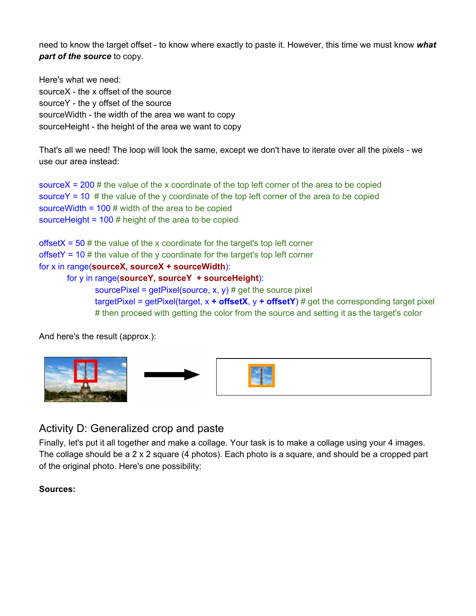need to know the target offset - to know where exactly to paste it. However, this time we must know *what part of the source* to copy.

Here's what we need: sourceX - the x offset of the source sourceY - the y offset of the source sourceWidth - the width of the area we want to copy sourceHeight - the height of the area we want to copy

That's all we need! The loop will look the same, except we don't have to iterate over all the pixels - we use our area instead:

source $X = 200 \#$  the value of the x coordinate of the top left corner of the area to be copied sourceY = 10  $\#$  the value of the y coordinate of the top left corner of the area to be copied sourceWidth =  $100 \#$  width of the area to be copied sourceHeight = 100 # height of the area to be copied

offsetX =  $50$  # the value of the x coordinate for the target's top left corner offsetY = 10  $#$  the value of the y coordinate for the target's top left corner for x in range(**sourceX, sourceX + sourceWidth**):

#### for y in range(**sourceY, sourceY + sourceHeight**):

sourcePixel =  $getPixel(source, x, y)$  # get the source pixel targetPixel = getPixel(target,  $x +$  offsetX,  $y +$  offsetY) # get the corresponding target pixel # then proceed with getting the color from the source and setting it as the target's color

And here's the result (approx.):



# Activity D: Generalized crop and paste

Finally, let's put it all together and make a collage. Your task is to make a collage using your 4 images. The collage should be a 2 x 2 square (4 photos). Each photo is a square, and should be a cropped part of the original photo. Here's one possibility:

#### **Sources:**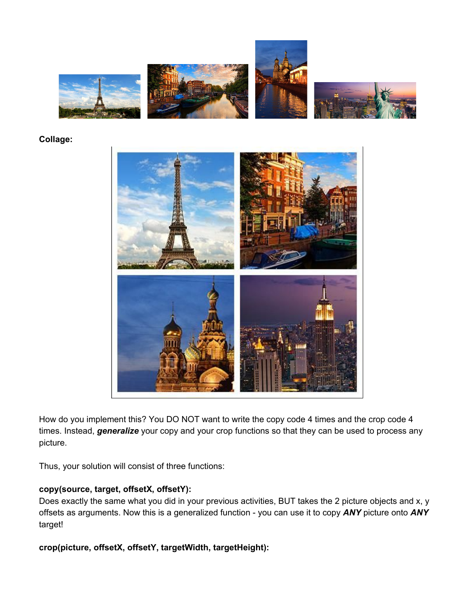

#### **Collage:**



How do you implement this? You DO NOT want to write the copy code 4 times and the crop code 4 times. Instead, *generalize* your copy and your crop functions so that they can be used to process any picture.

Thus, your solution will consist of three functions:

#### **copy(source, target, offsetX, offsetY):**

Does exactly the same what you did in your previous activities, BUT takes the 2 picture objects and x, y offsets as arguments. Now this is a generalized function - you can use it to copy *ANY* picture onto *ANY* target!

#### **crop(picture, offsetX, offsetY, targetWidth, targetHeight):**